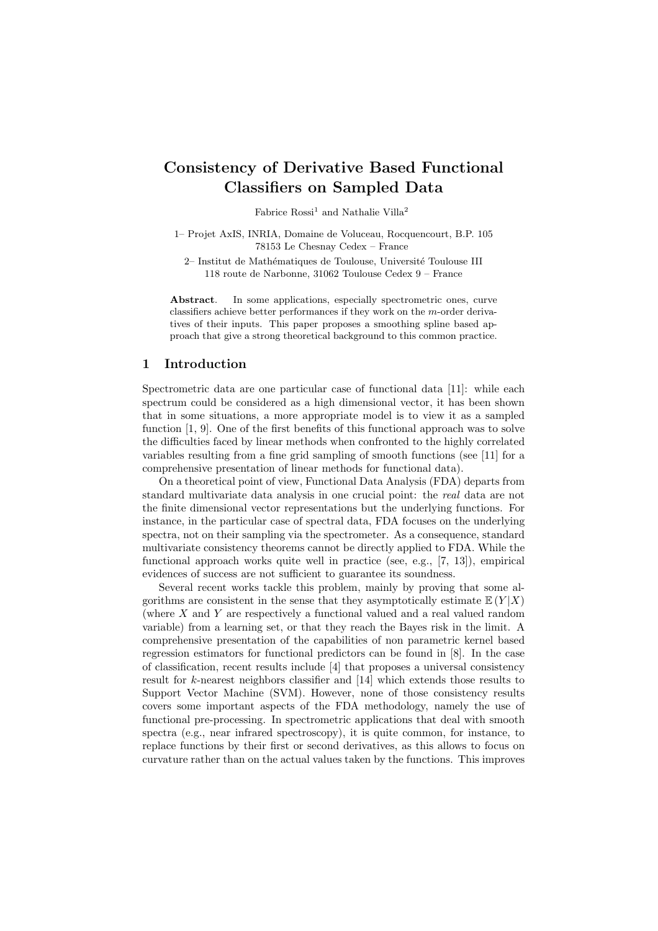# Consistency of Derivative Based Functional Classifiers on Sampled Data

Fabrice  $\mathrm{Rossi}^1$  and Nathalie  $\mathrm{Villa}^2$ 

1– Projet AxIS, INRIA, Domaine de Voluceau, Rocquencourt, B.P. 105 78153 Le Chesnay Cedex – France

2– Institut de Mathématiques de Toulouse, Université Toulouse III 118 route de Narbonne, 31062 Toulouse Cedex 9 – France

Abstract. In some applications, especially spectrometric ones, curve classifiers achieve better performances if they work on the m-order derivatives of their inputs. This paper proposes a smoothing spline based approach that give a strong theoretical background to this common practice.

## 1 Introduction

Spectrometric data are one particular case of functional data [11]: while each spectrum could be considered as a high dimensional vector, it has been shown that in some situations, a more appropriate model is to view it as a sampled function [1, 9]. One of the first benefits of this functional approach was to solve the difficulties faced by linear methods when confronted to the highly correlated variables resulting from a fine grid sampling of smooth functions (see [11] for a comprehensive presentation of linear methods for functional data).

On a theoretical point of view, Functional Data Analysis (FDA) departs from standard multivariate data analysis in one crucial point: the real data are not the finite dimensional vector representations but the underlying functions. For instance, in the particular case of spectral data, FDA focuses on the underlying spectra, not on their sampling via the spectrometer. As a consequence, standard multivariate consistency theorems cannot be directly applied to FDA. While the functional approach works quite well in practice (see, e.g., [7, 13]), empirical evidences of success are not sufficient to guarantee its soundness.

Several recent works tackle this problem, mainly by proving that some algorithms are consistent in the sense that they asymptotically estimate  $E(Y|X)$ (where X and Y are respectively a functional valued and a real valued random variable) from a learning set, or that they reach the Bayes risk in the limit. A comprehensive presentation of the capabilities of non parametric kernel based regression estimators for functional predictors can be found in [8]. In the case of classification, recent results include [4] that proposes a universal consistency result for k-nearest neighbors classifier and [14] which extends those results to Support Vector Machine (SVM). However, none of those consistency results covers some important aspects of the FDA methodology, namely the use of functional pre-processing. In spectrometric applications that deal with smooth spectra (e.g., near infrared spectroscopy), it is quite common, for instance, to replace functions by their first or second derivatives, as this allows to focus on curvature rather than on the actual values taken by the functions. This improves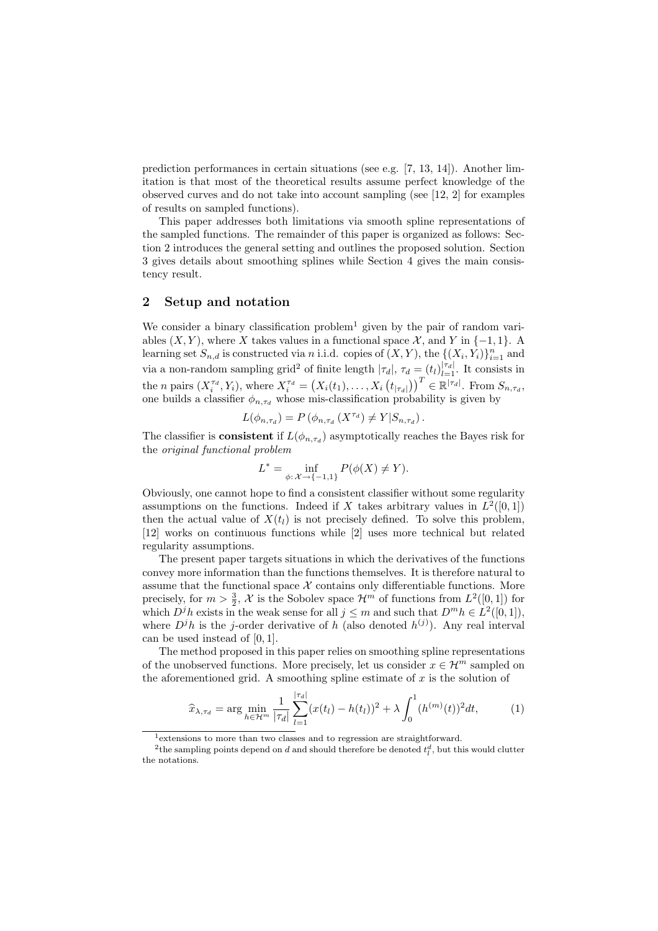prediction performances in certain situations (see e.g. [7, 13, 14]). Another limitation is that most of the theoretical results assume perfect knowledge of the observed curves and do not take into account sampling (see [12, 2] for examples of results on sampled functions).

This paper addresses both limitations via smooth spline representations of the sampled functions. The remainder of this paper is organized as follows: Section 2 introduces the general setting and outlines the proposed solution. Section 3 gives details about smoothing splines while Section 4 gives the main consistency result.

## 2 Setup and notation

We consider a binary classification problem<sup>1</sup> given by the pair of random variables  $(X, Y)$ , where X takes values in a functional space X, and Y in  $\{-1, 1\}$ . learning set  $S_{n,d}$  is constructed via n i.i.d. copies of  $(X, Y)$ , the  $\{(X_i, Y_i)\}_{i=1}^n$  and via a non-random sampling grid<sup>2</sup> of finite length  $|\tau_d|$ ,  $\tau_d = (t_l)|_{l=1}^{|\tau_d|}$ . It consists in the *n* pairs  $(X_i^{\tau_d}, Y_i)$ , where  $X_i^{\tau_d} = (X_i(t_1), \ldots, X_i(t_{|\tau_d|}))^T \in \mathbb{R}^{|\tau_d|}$ . From  $S_{n, \tau_d}$ , one builds a classifier  $\phi_{n,\tau_d}$  whose mis-classification probability is given by

$$
L(\phi_{n,\tau_d}) = P(\phi_{n,\tau_d}(X^{\tau_d}) \neq Y|S_{n,\tau_d}).
$$

The classifier is **consistent** if  $L(\phi_{n,\tau_d})$  asymptotically reaches the Bayes risk for the original functional problem

$$
L^* = \inf_{\phi: \, \mathcal{X} \to \{-1, 1\}} P(\phi(X) \neq Y).
$$

Obviously, one cannot hope to find a consistent classifier without some regularity assumptions on the functions. Indeed if X takes arbitrary values in  $L^2([0,1])$ then the actual value of  $X(t_l)$  is not precisely defined. To solve this problem, [12] works on continuous functions while [2] uses more technical but related regularity assumptions.

The present paper targets situations in which the derivatives of the functions convey more information than the functions themselves. It is therefore natural to assume that the functional space  $X$  contains only differentiable functions. More precisely, for  $m > \frac{3}{2}$ , X is the Sobolev space  $\mathcal{H}^m$  of functions from  $L^2([0, 1])$  for which  $D^{j}h$  exists in the weak sense for all  $j \leq m$  and such that  $D^{m}h \in L^{2}([0,1]),$ where  $D^{j}h$  is the j-order derivative of h (also denoted  $h^{(j)}$ ). Any real interval can be used instead of [0, 1].

The method proposed in this paper relies on smoothing spline representations of the unobserved functions. More precisely, let us consider  $x \in \mathcal{H}^m$  sampled on the aforementioned grid. A smoothing spline estimate of  $x$  is the solution of

$$
\widehat{x}_{\lambda,\tau_d} = \arg\min_{h \in \mathcal{H}^m} \frac{1}{|\tau_d|} \sum_{l=1}^{|\tau_d|} (x(t_l) - h(t_l))^2 + \lambda \int_0^1 (h^{(m)}(t))^2 dt,\tag{1}
$$

<sup>1</sup>extensions to more than two classes and to regression are straightforward.

<sup>&</sup>lt;sup>2</sup>the sampling points depend on d and should therefore be denoted  $t_l^d$ , but this would clutter the notations.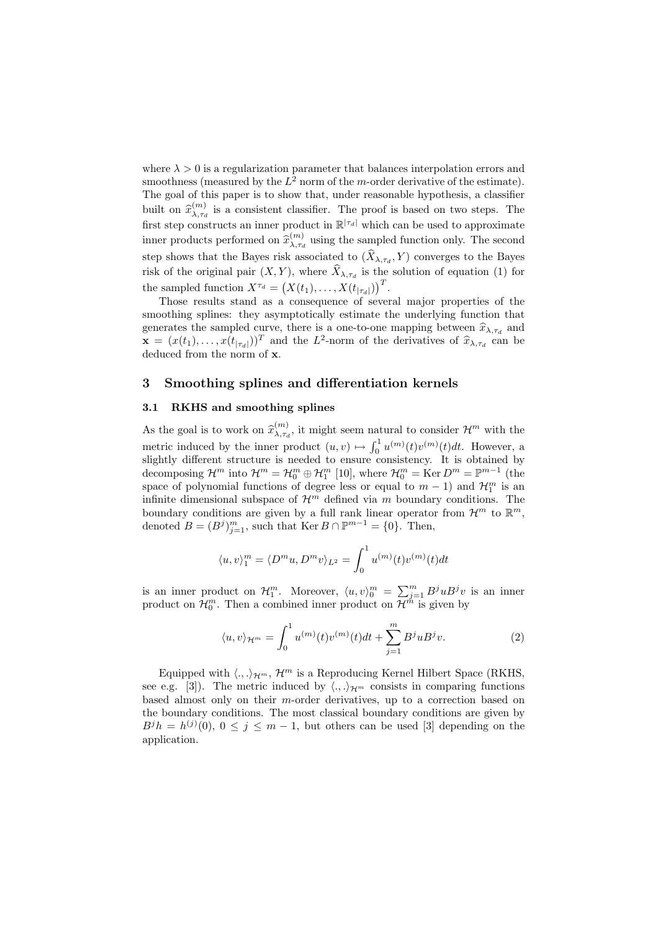where  $\lambda > 0$  is a regularization parameter that balances interpolation errors and smoothness (measured by the  $L^2$  norm of the m-order derivative of the estimate). The goal of this paper is to show that, under reasonable hypothesis, a classifier built on  $\widehat{x}_{\lambda, \tau_c}^{(m)}$  $\lambda_{\tau,d}^{(m)}$  is a consistent classifier. The proof is based on two steps. The first step constructs an inner product in  $\mathbb{R}^{|\tau_d|}$  which can be used to approximate inner products performed on  $\widehat{x}_{\lambda, \tau_c}^{(m)}$  $\lambda_{\tau_d}^{(m)}$  using the sampled function only. The second step shows that the Bayes risk associated to  $(X_{\lambda,\tau_d}, Y)$  converges to the Bayes risk of the original pair  $(X, Y)$ , where  $X_{\lambda, \tau_d}$  is the solution of equation (1) for the sampled function  $X^{\tau_d} = (X(t_1), \ldots, X(t_{|\tau_d|}))^T$ .

Those results stand as a consequence of several major properties of the smoothing splines: they asymptotically estimate the underlying function that generates the sampled curve, there is a one-to-one mapping between  $\hat{x}_{\lambda,\tau_d}$  and  $\mathbf{x} = (x(t_1), \dots, x(t_{|\tau_d|}))^T$  and the  $L^2$ -norm of the derivatives of  $\hat{x}_{\lambda, \tau_d}$  can be deduced from the norm of x.

## 3 Smoothing splines and differentiation kernels

## 3.1 RKHS and smoothing splines

As the goal is to work on  $\widehat{x}_{\lambda,\tau_c}^{(m)}$  $\chi_{\lambda,\tau_d}^{(m)}$ , it might seem natural to consider  $\mathcal{H}^m$  with the metric induced by the inner product  $(u, v) \mapsto \int_0^1 u^{(m)}(t)v^{(m)}(t)dt$ . However, a slightly different structure is needed to ensure consistency. It is obtained by decomposing  $\mathcal{H}^m$  into  $\mathcal{H}^m = \mathcal{H}_0^m \oplus \mathcal{H}_1^m$  [10], where  $\mathcal{H}_0^m = \text{Ker } D^m = \mathbb{P}^{m-1}$  (the space of polynomial functions of degree less or equal to  $m-1$ ) and  $\mathcal{H}_1^m$  is an infinite dimensional subspace of  $\mathcal{H}^m$  defined via m boundary conditions. The boundary conditions are given by a full rank linear operator from  $\mathcal{H}^m$  to  $\mathbb{R}^m$ , denoted  $B = (B^j)_{j=1}^m$ , such that Ker  $B \cap \mathbb{P}^{m-1} = \{0\}$ . Then,

$$
\langle u, v \rangle_1^m = \langle D^m u, D^m v \rangle_{L^2} = \int_0^1 u^{(m)}(t) v^{(m)}(t) dt
$$

is an inner product on  $\mathcal{H}_1^m$ . Moreover,  $\langle u, v \rangle_0^m = \sum_{j=1}^m B^j u B^j v$  is an inner product on  $\mathcal{H}_0^m$ . Then a combined inner product on  $\mathcal{H}^{\dot{m}}$  is given by

$$
\langle u, v \rangle_{\mathcal{H}^m} = \int_0^1 u^{(m)}(t) v^{(m)}(t) dt + \sum_{j=1}^m B^j u B^j v. \tag{2}
$$

Equipped with  $\langle ., .\rangle_{\mathcal{H}^m}$ ,  $\mathcal{H}^m$  is a Reproducing Kernel Hilbert Space (RKHS, see e.g. [3]). The metric induced by  $\langle ., .\rangle_{\mathcal{H}^m}$  consists in comparing functions based almost only on their  $m$ -order derivatives, up to a correction based on the boundary conditions. The most classical boundary conditions are given by  $B^{j}h = h^{(j)}(0), 0 \leq j \leq m-1$ , but others can be used [3] depending on the application.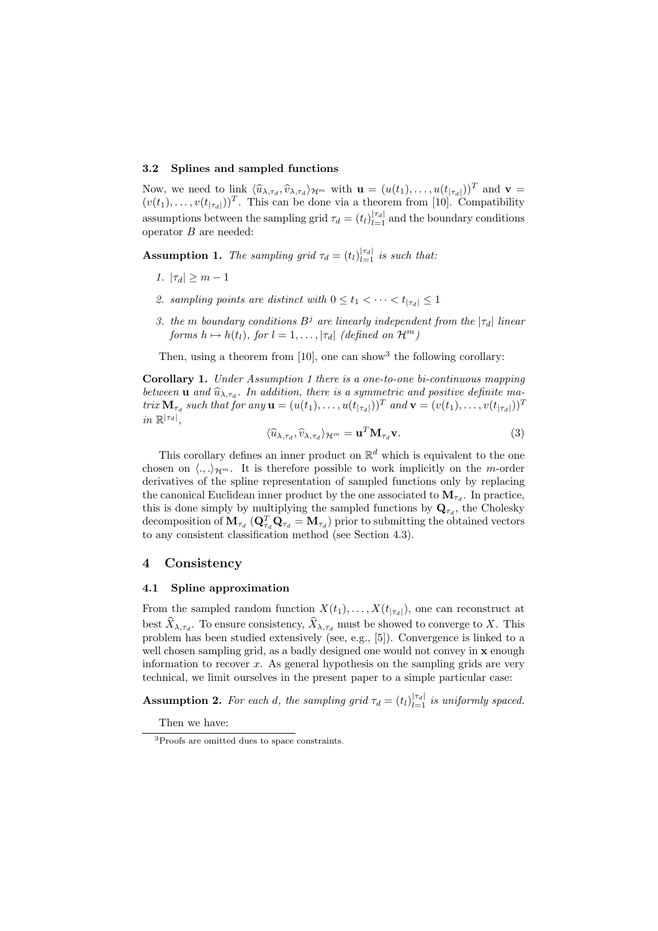#### 3.2 Splines and sampled functions

Now, we need to link  $\langle \hat{u}_{\lambda,\tau_d}, \hat{v}_{\lambda,\tau_d} \rangle_{\mathcal{H}^m}$  with  $\mathbf{u} = (u(t_1), \dots, u(t_{|\tau_d|}))^T$  and  $\mathbf{v} = (u(t_1), \dots, u(t_{|\tau_d|}))^T$  $(v(t_1), \ldots, v(t_{|\tau_d|}))^T$ . This can be done via a theorem from [10]. Compatibility assumptions between the sampling grid  $\tau_d = (t_l)_{l=1}^{|\tau_d|}$  and the boundary conditions operator  $B$  are needed:

**Assumption 1.** The sampling grid  $\tau_d = (t_l)_{l=1}^{|\tau_d|}$  is such that:

- 1.  $|\tau_d| \geq m 1$
- 2. sampling points are distinct with  $0 \le t_1 < \cdots < t_{|\tau_d|} \le 1$
- 3. the m boundary conditions  $B^j$  are linearly independent from the  $|\tau_d|$  linear forms  $h \mapsto h(t_l)$ , for  $l = 1, \ldots, |\tau_d|$  (defined on  $\mathcal{H}^m$ )

Then, using a theorem from  $[10]$ , one can show<sup>3</sup> the following corollary:

Corollary 1. Under Assumption 1 there is a one-to-one bi-continuous mapping between **u** and  $\widehat{u}_{\lambda,\tau_d}$ . In addition, there is a symmetric and positive definite matrix  $\mathbf{M}_{\tau_d}$  such that for any  $\mathbf{u} = (u(t_1), \dots, u(t_{|\tau_d|}))^T$  and  $\mathbf{v} = (v(t_1), \dots, v(t_{|\tau_d|}))^T$  $in \mathbb{R}^{|\tau_d|},$ 

$$
\langle \widehat{u}_{\lambda,\tau_d}, \widehat{v}_{\lambda,\tau_d} \rangle_{\mathcal{H}^m} = \mathbf{u}^T \mathbf{M}_{\tau_d} \mathbf{v}.
$$
 (3)

This corollary defines an inner product on  $\mathbb{R}^d$  which is equivalent to the one chosen on  $\langle \ldots \rangle_{\mathcal{H}^m}$ . It is therefore possible to work implicitly on the m-order derivatives of the spline representation of sampled functions only by replacing the canonical Euclidean inner product by the one associated to  $\mathbf{M}_{\tau_d}$ . In practice, this is done simply by multiplying the sampled functions by  $\mathbf{Q}_{\tau_d}$ , the Cholesky decomposition of  ${\bf M}_{\tau_d}$  ( ${\bf Q}_{\tau_d}^T {\bf Q}_{\tau_d} = {\bf M}_{\tau_d}$ ) prior to submitting the obtained vectors to any consistent classification method (see Section 4.3).

## 4 Consistency

## 4.1 Spline approximation

From the sampled random function  $X(t_1), \ldots, X(t_{|\tau_d|})$ , one can reconstruct at best  $X_{\lambda, \tau_d}$ . To ensure consistency,  $X_{\lambda, \tau_d}$  must be showed to converge to X. This problem has been studied extensively (see, e.g., [5]). Convergence is linked to a well chosen sampling grid, as a badly designed one would not convey in **x** enough information to recover x. As general hypothesis on the sampling grids are very technical, we limit ourselves in the present paper to a simple particular case:

**Assumption 2.** For each d, the sampling grid  $\tau_d = (t_l)_{l=1}^{|\tau_d|}$  is uniformly spaced.

Then we have:

<sup>3</sup>Proofs are omitted dues to space constraints.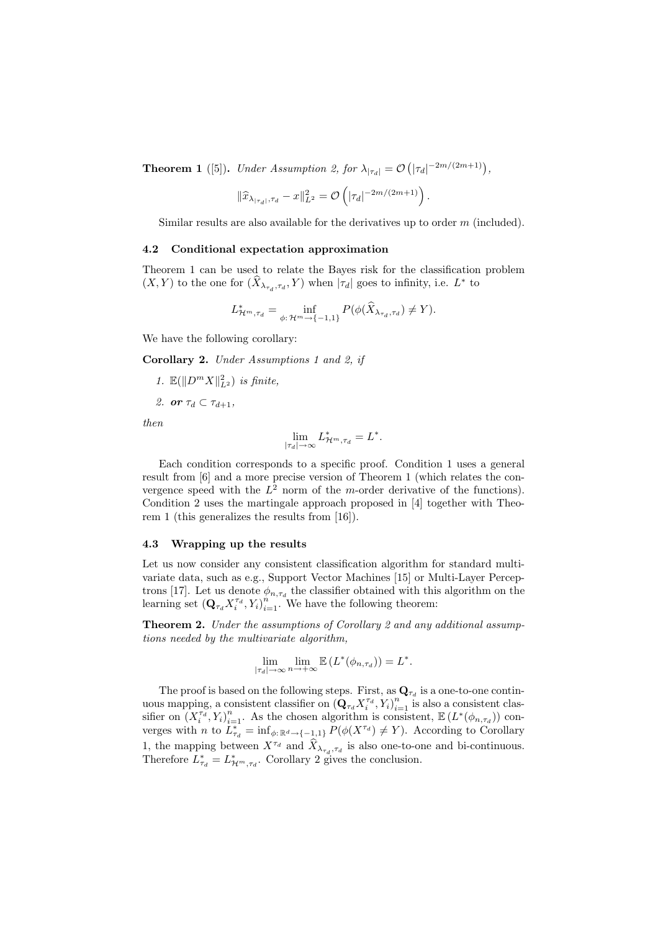**Theorem 1** ([5]). Under Assumption 2, for  $\lambda_{|\tau_d|} = \mathcal{O}(|\tau_d|^{-2m/(2m+1)})$ ,

$$
\|\widehat{x}_{\lambda_{|\tau_d|},\tau_d}-x\|_{L^2}^2=\mathcal{O}\left(|\tau_d|^{-2m/(2m+1)}\right).
$$

Similar results are also available for the derivatives up to order  $m$  (included).

## 4.2 Conditional expectation approximation

Theorem 1 can be used to relate the Bayes risk for the classification problem  $(X, Y)$  to the one for  $(\hat{X}_{\lambda_{\tau_d}, \tau_d}, Y)$  when  $|\tau_d|$  goes to infinity, i.e.  $L^*$  to

$$
L^*_{\mathcal{H}^m, \tau_d} = \inf_{\phi: \mathcal{H}^m \to \{-1, 1\}} P(\phi(\widehat{X}_{\lambda_{\tau_d}, \tau_d}) \neq Y).
$$

We have the following corollary:

Corollary 2. Under Assumptions 1 and 2, if

- 1.  $\mathbb{E}(\Vert D^m X \Vert^2_{L^2})$  is finite,
- 2. or  $\tau_d \subset \tau_{d+1}$ ,

then

$$
\lim_{|\tau_d| \to \infty} L^*_{\mathcal{H}^m, \tau_d} = L^*.
$$

Each condition corresponds to a specific proof. Condition 1 uses a general result from [6] and a more precise version of Theorem 1 (which relates the convergence speed with the  $L^2$  norm of the m-order derivative of the functions). Condition 2 uses the martingale approach proposed in [4] together with Theorem 1 (this generalizes the results from [16]).

#### 4.3 Wrapping up the results

Let us now consider any consistent classification algorithm for standard multivariate data, such as e.g., Support Vector Machines [15] or Multi-Layer Perceptrons [17]. Let us denote  $\phi_{n,\tau_d}$  the classifier obtained with this algorithm on the learning set  $(Q_{\tau_d} X_i^{\tau_d}, Y_i)_{i=1}^{n}$ . We have the following theorem:

Theorem 2. Under the assumptions of Corollary 2 and any additional assumptions needed by the multivariate algorithm,

$$
\lim_{|\tau_d| \to \infty} \lim_{n \to +\infty} \mathbb{E} \left( L^*(\phi_{n,\tau_d}) \right) = L^*.
$$

The proof is based on the following steps. First, as  $\mathbf{Q}_{\tau_d}$  is a one-to-one continuous mapping, a consistent classifier on  $(Q_{\tau_d} X_i^{\tau_d}, Y_i)_{i=1}^n$  is also a consistent classifier on  $(X_i^{\tau_d}, Y_i)_{i=1}^n$ . As the chosen algorithm is consistent,  $\mathbb{E}(L^*(\phi_{n,\tau_d}))$  converges with *n* to  $L_{\tau_d}^* = \inf_{\phi: \mathbb{R}^d \to \{-1,1\}} P(\phi(X^{\tau_d}) \neq Y)$ . According to Corollary 1, the mapping between  $X^{\tau_d}$  and  $\widehat{X}_{\lambda_{\tau_d},\tau_d}$  is also one-to-one and bi-continuous. Therefore  $L_{\tau_d}^* = L_{\mathcal{H}^m, \tau_d}^*$ . Corollary 2 gives the conclusion.